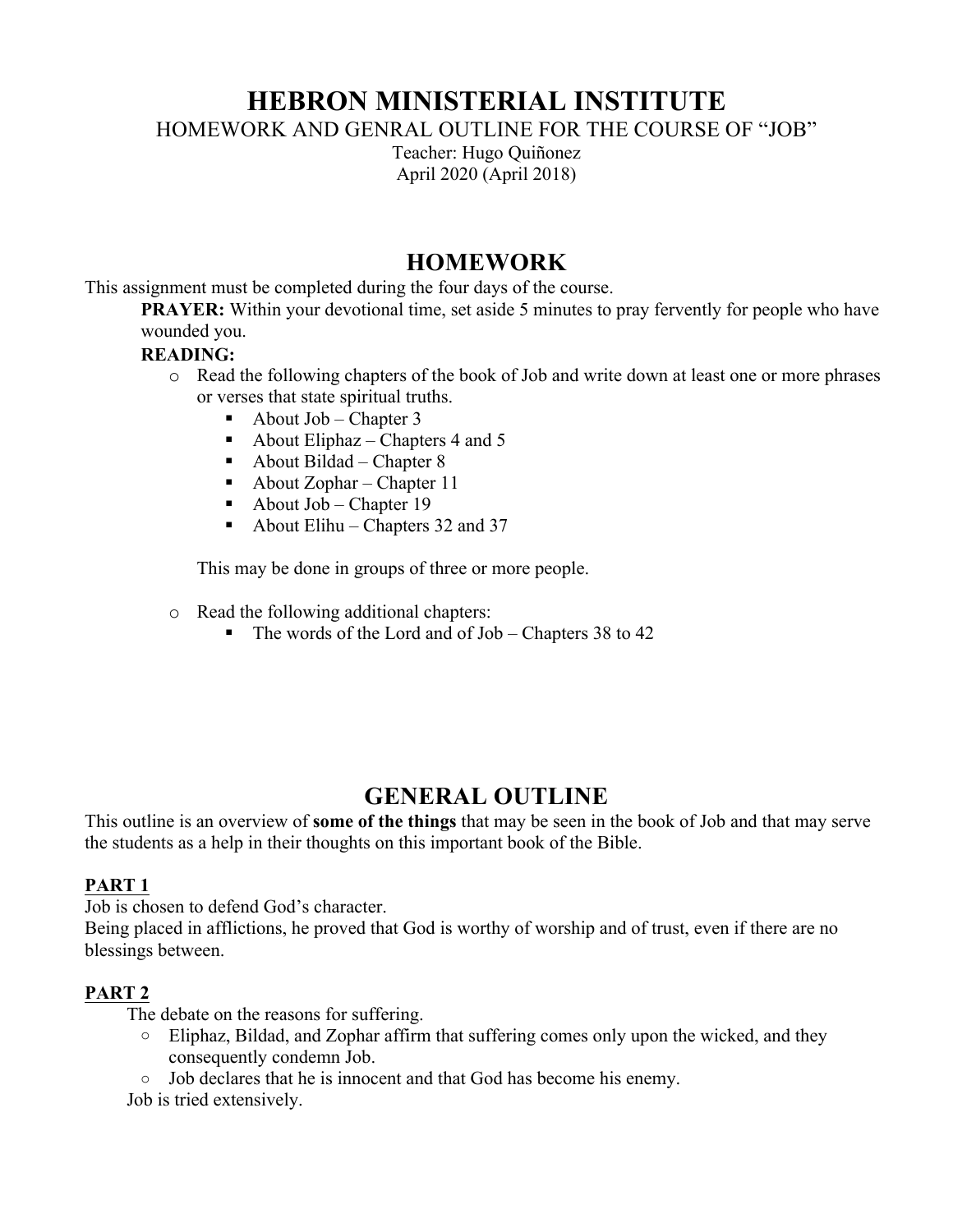# **HEBRON MINISTERIAL INSTITUTE**

HOMEWORK AND GENRAL OUTLINE FOR THE COURSE OF "JOB"

Teacher: Hugo Quiñonez April 2020 (April 2018)

## **HOMEWORK**

This assignment must be completed during the four days of the course.

**PRAYER:** Within your devotional time, set aside 5 minutes to pray fervently for people who have wounded you.

#### **READING:**

- o Read the following chapters of the book of Job and write down at least one or more phrases or verses that state spiritual truths.
	- About  $Job Chapter 3$
	- About Eliphaz Chapters 4 and 5
	- About Bildad Chapter 8
	- About Zophar Chapter 11
	- About Job Chapter 19
	- About Elihu Chapters 32 and 37

This may be done in groups of three or more people.

- o Read the following additional chapters:
	- The words of the Lord and of Job Chapters 38 to 42

# **GENERAL OUTLINE**

This outline is an overview of **some of the things** that may be seen in the book of Job and that may serve the students as a help in their thoughts on this important book of the Bible.

#### **PART 1**

Job is chosen to defend God's character.

Being placed in afflictions, he proved that God is worthy of worship and of trust, even if there are no blessings between.

### **PART 2**

The debate on the reasons for suffering.

- o Eliphaz, Bildad, and Zophar affirm that suffering comes only upon the wicked, and they consequently condemn Job.
- o Job declares that he is innocent and that God has become his enemy.

Job is tried extensively.